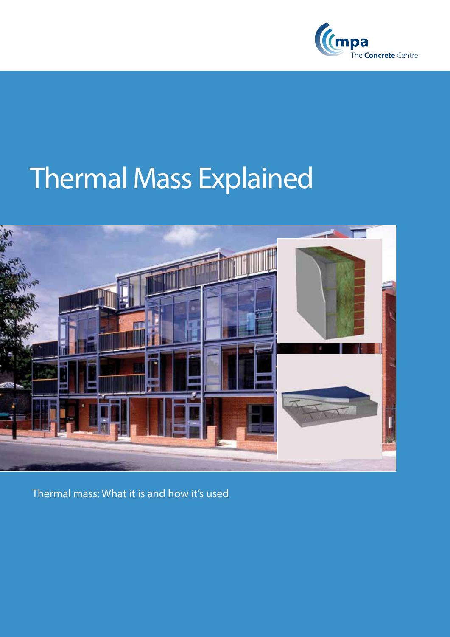

# Thermal Mass Explained



Thermal mass: What it is and how it's used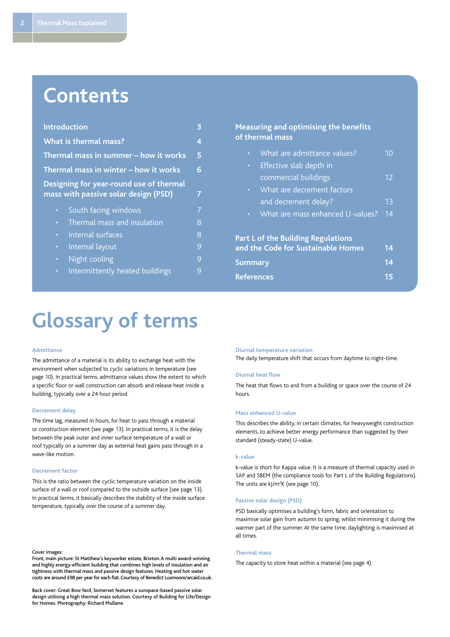## **Contents**

| <b>Introduction</b> |                                                                                 | 3              |
|---------------------|---------------------------------------------------------------------------------|----------------|
|                     | What is thermal mass?                                                           | 4              |
|                     | Thermal mass in summer - how it works                                           | 5              |
|                     | Thermal mass in winter - how it works                                           | 6              |
|                     | Designing for year-round use of thermal<br>mass with passive solar design (PSD) | 7              |
| $\bullet$           | South facing windows                                                            | $\overline{7}$ |
| ö                   | Thermal mass and insulation                                                     | 8              |
| ö                   | Internal surfaces                                                               | 8              |
| ٠                   | Internal layout                                                                 | 9              |
| ٠                   | Night cooling                                                                   | 9              |
| o                   | Intermittently heated buildings                                                 | 9              |
|                     |                                                                                 |                |

### **Measuring and optimising the benefits of thermal mass**

|                   | What are admittance values?                                              | 10 |
|-------------------|--------------------------------------------------------------------------|----|
| $\bullet$         | Effective slab depth in                                                  |    |
|                   | commercial buildings                                                     | 12 |
| $\bullet$         | What are decrement factors                                               |    |
|                   | and decrement delay?                                                     | 13 |
|                   | What are mass enhanced U-values?                                         | 14 |
|                   | Part L of the Building Regulations<br>and the Code for Sustainable Homes | 14 |
|                   |                                                                          | 14 |
| <b>Summary</b>    |                                                                          |    |
| <b>References</b> |                                                                          |    |

## **Glossary of terms**

#### **Admittance**

The admittance of a material is its ability to exchange heat with the environment when subjected to cyclic variations in temperature (see page 10). In practical terms, admittance values show the extent to which a specific floor or wall construction can absorb and release heat inside a building, typically over a 24 hour period.

### **Decrement delay**

The time lag, measured in hours, for heat to pass through a material or construction element (see page 13). In practical terms, it is the delay between the peak outer and inner surface temperature of a wall or roof typically on a summer day as external heat gains pass through in a wave-like motion.

#### **Decrement factor**

This is the ratio between the cyclic temperature variation on the inside surface of a wall or roof compared to the outside surface (see page 13). In practical terms, it basically describes the stability of the inside surface temperature, typically over the course of a summer day.

Cover images:

Front, main picture: St Matthew's keyworker estate, Brixton. A multi award-winning and highly energy-efficient building that combines high levels of insulation and air tightness with thermal mass and passive design features. Heating and hot water costs are around £98 per year for each flat. Courtesy of Benedict Luxmoore/arcaid.co.uk.

Back cover: Great Bow Yard, Somerset features a sunspace-based passive solar design utilising a high thermal mass solution. Courtesy of Building for Life/Design for Homes. Photography: Richard Mullane.

#### **Diurnal temperature variation**

The daily temperature shift that occurs from daytime to night-time.

### **Diurnal heat flow**

The heat that flows to and from a building or space over the course of 24 hours.

#### **Mass enhanced U-value**

This describes the ability, in certain climates, for heavyweight construction elements, to achieve better energy performance than suggested by their standard (steady-state) U-value.

### **k-value**

k-value is short for Kappa value. It is a measure of thermal capacity used in SAP and SBEM (the compliance tools for Part L of the Building Regulations). The units are kJ/m<sup>2</sup>K (see page 10).

#### **Passive solar design (PSD)**

PSD basically optimises a building's form, fabric and orientation to maximise solar gain from autumn to spring, whilst minimising it during the warmer part of the summer.At the same time, daylighting is maximised at all times.

### **Thermal mass**

The capacity to store heat within a material (see page 4).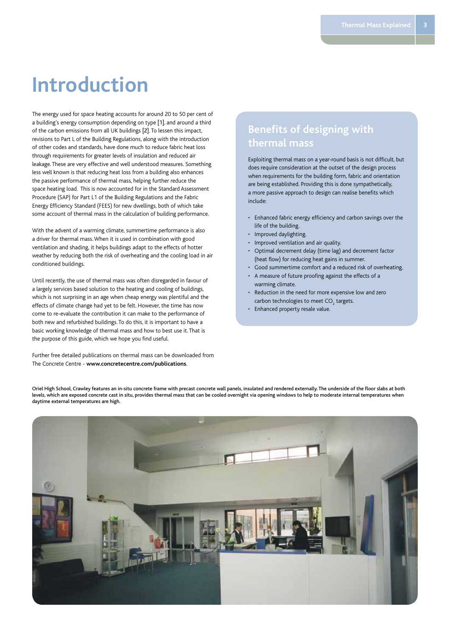## **Introduction**

The energy used for space heating accounts for around 20 to 50 per cent of a building's energy consumption depending on type [1], and around a third of the carbon emissions from all UK buildings [2]. To lessen this impact, revisions to Part L of the Building Regulations, along with the introduction of other codes and standards, have done much to reduce fabric heat loss through requirements for greater levels of insulation and reduced air leakage. These are very effective and well understood measures. Something less well known is that reducing heat loss from a building also enhances the passive performance of thermal mass, helping further reduce the space heating load. This is now accounted for in the Standard Assessment Procedure (SAP) for Part L1 of the Building Regulations and the Fabric Energy Efficiency Standard (FEES) for new dwellings, both of which take some account of thermal mass in the calculation of building performance.

With the advent of a warming climate, summertime performance is also a driver for thermal mass.When it is used in combination with good ventilation and shading, it helps buildings adapt to the effects of hotter weather by reducing both the risk of overheating and the cooling load in air conditioned buildings.

Until recently, the use of thermal mass was often disregarded in favour of a largely services based solution to the heating and cooling of buildings, which is not surprising in an age when cheap energy was plentiful and the effects of climate change had yet to be felt. However, the time has now come to re-evaluate the contribution it can make to the performance of both new and refurbished buildings. To do this, it is important to have a basic working knowledge of thermal mass and how to best use it. That is the purpose of this guide, which we hope you find useful.

Further free detailed publications on thermal mass can be downloaded from The Concrete Centre - **www.concretecentre.com/publications**.

### **Benefits of designing with thermal mass**

Exploiting thermal mass on a year-round basis is not difficult, but does require consideration at the outset of the design process when requirements for the building form, fabric and orientation are being established. Providing this is done sympathetically, a more passive approach to design can realise benefits which include:

- • Enhanced fabric energy efficiency and carbon savings over the life of the building.
- Improved daylighting.
- Improved ventilation and air quality.
- Optimal decrement delay (time lag) and decrement factor (heat flow) for reducing heat gains in summer.
- Good summertime comfort and a reduced risk of overheating.
- A measure of future proofing against the effects of a warming climate.
- Reduction in the need for more expensive low and zero carbon technologies to meet CO<sub>2</sub> targets.
- Enhanced property resale value.

Oriel High School, Crawley features an in-situ concrete frame with precast concrete wall panels, insulated and rendered externally. The underside of the floor slabs at both levels, which are exposed concrete cast in situ, provides thermal mass that can be cooled overnight via opening windows to help to moderate internal temperatures when daytime external temperatures are high.

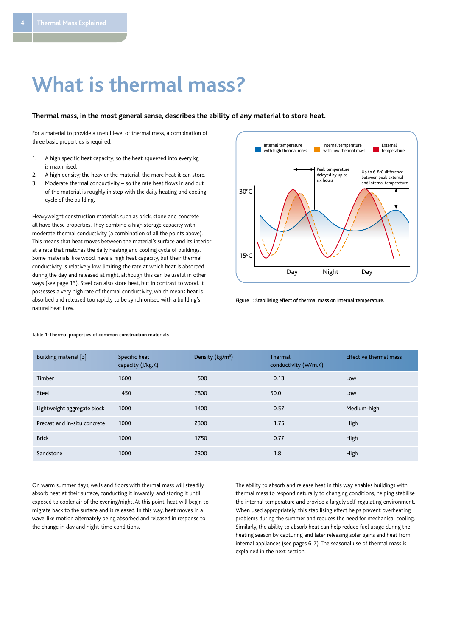## **What is thermal mass?**

### **Thermal mass, in the most general sense, describes the ability of any material to store heat.**

For a material to provide a useful level of thermal mass, a combination of three basic properties is required:

- 1. A high specific heat capacity; so the heat squeezed into every kg is maximised.
- 2. A high density; the heavier the material, the more heat it can store.
- 3. Moderate thermal conductivity  $-$  so the rate heat flows in and out of the material is roughly in step with the daily heating and cooling cycle of the building.

Heavyweight construction materials such as brick, stone and concrete all have these properties. They combine a high storage capacity with moderate thermal conductivity (a combination of all the points above). This means that heat moves between the material's surface and its interior at a rate that matches the daily heating and cooling cycle of buildings. Some materials, like wood, have a high heat capacity, but their thermal conductivity is relatively low, limiting the rate at which heat is absorbed during the day and released at night, although this can be useful in other ways (see page 13). Steel can also store heat, but in contrast to wood, it possesses a very high rate of thermal conductivity, which means heat is absorbed and released too rapidly to be synchronised with a building's natural heat flow.



Figure 1: Stabilising effect of thermal mass on internal temperature.

| <b>Building material [3]</b> | Specific heat<br>capacity (J/kg.K) | Density (kg/m <sup>3</sup> ) | Thermal<br>conductivity (W/m.K) | <b>Effective thermal mass</b> |
|------------------------------|------------------------------------|------------------------------|---------------------------------|-------------------------------|
| Timber                       | 1600                               | 500                          | 0.13                            | Low                           |
| Steel                        | 450                                | 7800                         | 50.0                            | Low                           |
| Lightweight aggregate block  | 1000                               | 1400                         | 0.57                            | Medium-high                   |
| Precast and in-situ concrete | 1000                               | 2300                         | 1.75                            | High                          |
| <b>Brick</b>                 | 1000                               | 1750                         | 0.77                            | High                          |
| Sandstone                    | 1000                               | 2300                         | 1.8                             | High                          |

### Table 1: Thermal properties of common construction materials

On warm summer days, walls and floors with thermal mass will steadily absorb heat at their surface, conducting it inwardly, and storing it until exposed to cooler air of the evening/night.At this point, heat will begin to migrate back to the surface and is released. In this way, heat moves in a wave-like motion alternately being absorbed and released in response to the change in day and night-time conditions.

The ability to absorb and release heat in this way enables buildings with thermal mass to respond naturally to changing conditions, helping stabilise the internal temperature and provide a largely self-regulating environment. When used appropriately, this stabilising effect helps prevent overheating problems during the summer and reduces the need for mechanical cooling. Similarly, the ability to absorb heat can help reduce fuel usage during the heating season by capturing and later releasing solar gains and heat from internal appliances (see pages 6-7). The seasonal use of thermal mass is explained in the next section.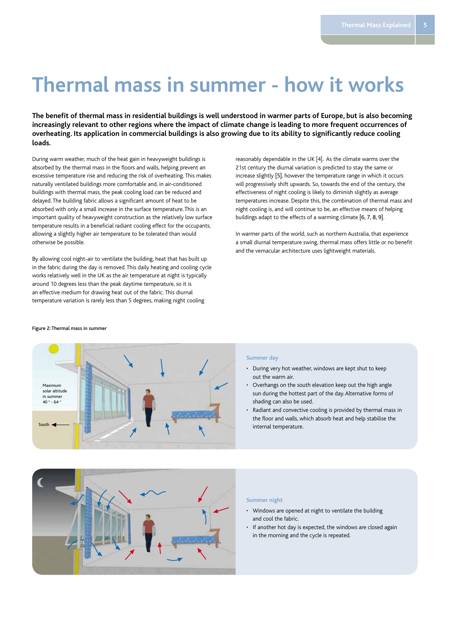## **Thermal mass in summer - how it works**

The benefit of thermal mass in residential buildings is well understood in warmer parts of Europe, but is also becoming increasingly relevant to other regions where the impact of climate change is leading to more frequent occurrences of overheating. Its application in commercial buildings is also growing due to its ability to significantly reduce cooling **loads.**

During warm weather, much of the heat gain in heavyweight buildings is absorbed by the thermal mass in the floors and walls, helping prevent an excessive temperature rise and reducing the risk of overheating. This makes naturally ventilated buildings more comfortable and, in air-conditioned buildings with thermal mass, the peak cooling load can be reduced and delayed. The building fabric allows a significant amount of heat to be absorbed with only a small increase in the surface temperature. This is an important quality of heavyweight construction as the relatively low surface temperature results in a beneficial radiant cooling effect for the occupants, allowing a slightly higher air temperature to be tolerated than would otherwise be possible.

By allowing cool night-air to ventilate the building, heat that has built up in the fabric during the day is removed. This daily heating and cooling cycle works relatively well in the UK as the air temperature at night is typically around 10 degrees less than the peak daytime temperature, so it is an effective medium for drawing heat out of the fabric. This diurnal temperature variation is rarely less than 5 degrees, making night cooling

reasonably dependable in the UK [4]. As the climate warms over the 21st century the diurnal variation is predicted to stay the same or increase slightly [5], however the temperature range in which it occurs will progressively shift upwards. So, towards the end of the century, the effectiveness of night cooling is likely to diminish slightly as average temperatures increase. Despite this, the combination of thermal mass and night cooling is, and will continue to be, an effective means of helping buildings adapt to the effects of a warming climate [6, 7, 8, 9].

In warmer parts of the world, such as northern Australia, that experience a small diurnal temperature swing, thermal mass offers little or no benefit and the vernacular architecture uses lightweight materials.

#### Figure 2: Thermal mass in summer



#### **Summer day**

- • During very hot weather, windows are kept shut to keep out the warm air.
- Overhangs on the south elevation keep out the high angle sun during the hottest part of the day.Alternative forms of shading can also be used.
- Radiant and convective cooling is provided by thermal mass in the floor and walls, which absorb heat and help stabilise the internal temperature.



### **Summer night**

- • Windows are opened at night to ventilate the building and cool the fabric.
- If another hot day is expected, the windows are closed again in the morning and the cycle is repeated.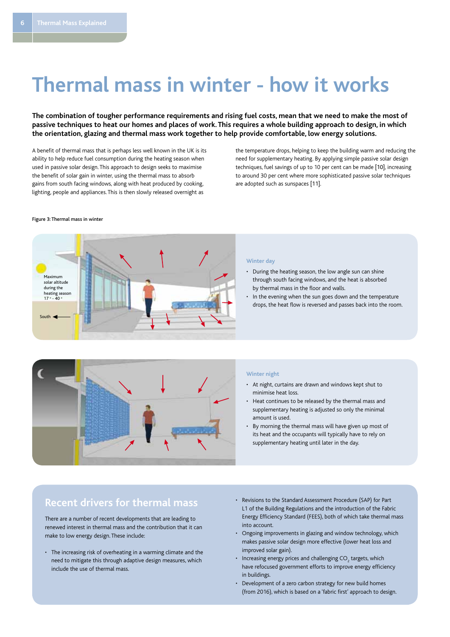## **Thermal mass in winter - how it works**

The combination of tougher performance requirements and rising fuel costs, mean that we need to make the most of passive techniques to heat our homes and places of work. This requires a whole building approach to design, in which **the orientation, glazing and thermal mass work together to help provide comfortable, low energy solutions.**

A benefit of thermal mass that is perhaps less well known in the UK is its ability to help reduce fuel consumption during the heating season when used in passive solar design. This approach to design seeks to maximise the benefit of solar gain in winter, using the thermal mass to absorb gains from south facing windows, along with heat produced by cooking, lighting, people and appliances. This is then slowly released overnight as

the temperature drops, helping to keep the building warm and reducing the need for supplementary heating. By applying simple passive solar design techniques, fuel savings of up to 10 per cent can be made [10], increasing to around 30 per cent where more sophisticated passive solar techniques are adopted such as sunspaces [11].

### Figure 3: Thermal mass in winter



#### **Winter day**

- • During the heating season, the low angle sun can shine through south facing windows, and the heat is absorbed by thermal mass in the floor and walls.
- In the evening when the sun goes down and the temperature drops, the heat flow is reversed and passes back into the room.



#### **Winter night**

- • At night, curtains are drawn and windows kept shut to minimise heat loss.
- • Heat continues to be released by the thermal mass and supplementary heating is adjusted so only the minimal amount is used.
- • By morning the thermal mass will have given up most of its heat and the occupants will typically have to rely on supplementary heating until later in the day.

### **Recent drivers for thermal mass**

There are a number of recent developments that are leading to renewed interest in thermal mass and the contribution that it can make to low energy design. These include:

- The increasing risk of overheating in a warming climate and the need to mitigate this through adaptive design measures, which include the use of thermal mass.
- • Revisions to the Standard Assessment Procedure (SAP) for Part L1 of the Building Regulations and the introduction of the Fabric Energy Efficiency Standard (FEES), both of which take thermal mass into account.
- Ongoing improvements in glazing and window technology, which makes passive solar design more effective (lower heat loss and improved solar gain).
- Increasing energy prices and challenging CO<sub>2</sub> targets, which have refocused government efforts to improve energy efficiency in buildings.
- Development of a zero carbon strategy for new build homes (from 2016), which is based on a 'fabric first' approach to design.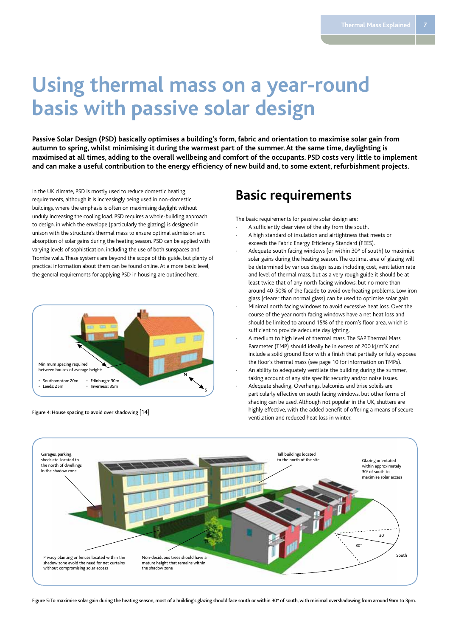## **Using thermal mass on a year-round basis with passive solar design**

Passive Solar Design (PSD) basically optimises a building's form, fabric and orientation to maximise solar gain from autumn to spring, whilst minimising it during the warmest part of the summer. At the same time, daylighting is maximised at all times, adding to the overall wellbeing and comfort of the occupants. PSD costs very little to implement and can make a useful contribution to the energy efficiency of new build and, to some extent, refurbishment projects.

In the UK climate, PSD is mostly used to reduce domestic heating requirements, although it is increasingly being used in non-domestic buildings, where the emphasis is often on maximising daylight without unduly increasing the cooling load. PSD requires a whole-building approach to design, in which the envelope (particularly the glazing) is designed in unison with the structure's thermal mass to ensure optimal admission and absorption of solar gains during the heating season. PSD can be applied with varying levels of sophistication, including the use of both sunspaces and Trombe walls.These systems are beyond the scope of this guide, but plenty of practical information about them can be found online. At a more basic level, the general requirements for applying PSD in housing are outlined here.



Figure 4: House spacing to avoid over shadowing [14]

### **Basic requirements**

The basic requirements for passive solar design are:

- A sufficiently clear view of the sky from the south.
- A high standard of insulation and airtightness that meets or exceeds the Fabric Energy Efficiency Standard (FEES).
- Adequate south facing windows (or within 30° of south) to maximise solar gains during the heating season. The optimal area of glazing will be determined by various design issues including cost, ventilation rate and level of thermal mass, but as a very rough guide it should be at least twice that of any north facing windows, but no more than around 40-50% of the facade to avoid overheating problems. Low iron glass (clearer than normal glass) can be used to optimise solar gain.
- Minimal north facing windows to avoid excessive heat loss. Over the course of the year north facing windows have a net heat loss and should be limited to around 15% of the room's floor area, which is sufficient to provide adequate daylighting.
- A medium to high level of thermal mass. The SAP Thermal Mass Parameter (TMP) should ideally be in excess of 200 kJ/m<sup>2</sup>K and include a solid ground floor with a finish that partially or fully exposes the floor's thermal mass (see page 10 for information on TMPs).
- An ability to adequately ventilate the building during the summer, taking account of any site specific security and/or noise issues.
- Adequate shading. Overhangs, balconies and brise soleils are particularly effective on south facing windows, but other forms of shading can be used. Although not popular in the UK, shutters are highly effective, with the added benefit of offering a means of secure ventilation and reduced heat loss in winter.



Figure 5: To maximise solar gain during the heating season, most of a building's glazing should face south or within 30° of south, with minimal overshadowing from around 9am to 3pm.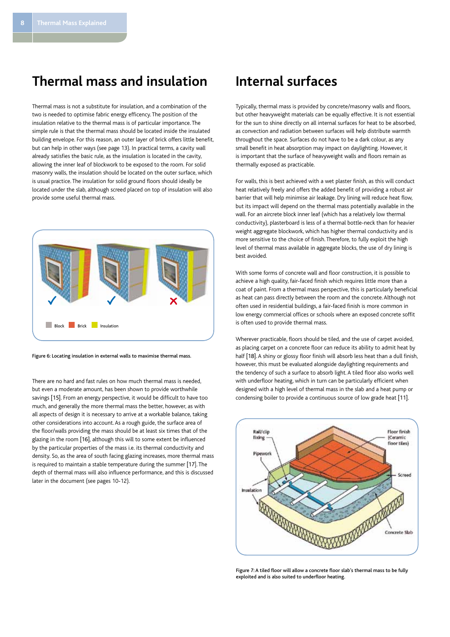### **Thermal mass and insulation**

Thermal mass is not a substitute for insulation, and a combination of the two is needed to optimise fabric energy efficency. The position of the insulation relative to the thermal mass is of particular importance. The simple rule is that the thermal mass should be located inside the insulated building envelope. For this reason, an outer layer of brick offers little benefit, but can help in other ways (see page 13). In practical terms, a cavity wall already satisfies the basic rule, as the insulation is located in the cavity, allowing the inner leaf of blockwork to be exposed to the room. For solid masonry walls, the insulation should be located on the outer surface, which is usual practice. The insulation for solid ground floors should ideally be located under the slab, although screed placed on top of insulation will also provide some useful thermal mass.



![](_page_7_Figure_4.jpeg)

There are no hard and fast rules on how much thermal mass is needed, but even a moderate amount, has been shown to provide worthwhile savings [15]. From an energy perspective, it would be difficult to have too much, and generally the more thermal mass the better, however, as with all aspects of design it is necessary to arrive at a workable balance, taking other considerations into account. As a rough guide, the surface area of the floor/walls providing the mass should be at least six times that of the glazing in the room [16], although this will to some extent be influenced by the particular properties of the mass i.e. its thermal conductivity and density. So, as the area of south facing glazing increases, more thermal mass is required to maintain a stable temperature during the summer [17]. The depth of thermal mass will also influence performance, and this is discussed later in the document (see pages 10-12).

### **Internal surfaces**

Typically, thermal mass is provided by concrete/masonry walls and floors, but other heavyweight materials can be equally effective. It is not essential for the sun to shine directly on all internal surfaces for heat to be absorbed, as convection and radiation between surfaces will help distribute warmth throughout the space. Surfaces do not have to be a dark colour, as any small benefit in heat absorption may impact on daylighting. However, it is important that the surface of heavyweight walls and floors remain as thermally exposed as practicable.

For walls, this is best achieved with a wet plaster finish, as this will conduct heat relatively freely and offers the added benefit of providing a robust air barrier that will help minimise air leakage. Dry lining will reduce heat flow, but its impact will depend on the thermal mass potentially available in the wall. For an aircrete block inner leaf (which has a relatively low thermal conductivity), plasterboard is less of a thermal bottle-neck than for heavier weight aggregate blockwork, which has higher thermal conductivity and is more sensitive to the choice of finish. Therefore, to fully exploit the high level of thermal mass available in aggregate blocks, the use of dry lining is best avoided.

With some forms of concrete wall and floor construction, it is possible to achieve a high quality, fair-faced finish which requires little more than a coat of paint. From a thermal mass perspective, this is particularly beneficial as heat can pass directly between the room and the concrete.Although not often used in residential buildings, a fair-faced finish is more common in low energy commercial offices or schools where an exposed concrete soffit is often used to provide thermal mass.

Wherever practicable, floors should be tiled, and the use of carpet avoided, as placing carpet on a concrete floor can reduce its ability to admit heat by half [18]. A shiny or glossy floor finish will absorb less heat than a dull finish, however, this must be evaluated alongside daylighting requirements and the tendency of such a surface to absorb light.A tiled floor also works well with underfloor heating, which in turn can be particularly efficient when designed with a high level of thermal mass in the slab and a heat pump or condensing boiler to provide a continuous source of low grade heat [11].

![](_page_7_Figure_11.jpeg)

Figure 7: A tiled floor will allow a concrete floor slab's thermal mass to be fully exploited and is also suited to underfloor heating.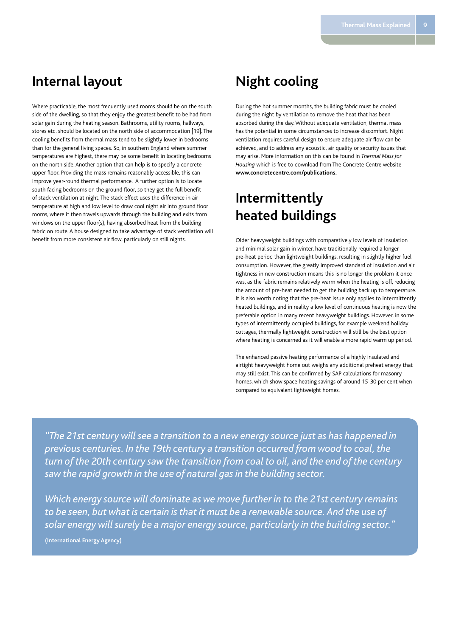### **Internal layout**

Where practicable, the most frequently used rooms should be on the south side of the dwelling, so that they enjoy the greatest benefit to be had from solar gain during the heating season. Bathrooms, utility rooms, hallways, stores etc. should be located on the north side of accommodation [19]. The cooling benefits from thermal mass tend to be slightly lower in bedrooms than for the general living spaces. So, in southern England where summer temperatures are highest, there may be some benefit in locating bedrooms on the north side.Another option that can help is to specify a concrete upper floor. Providing the mass remains reasonably accessible, this can improve year-round thermal performance. A further option is to locate south facing bedrooms on the ground floor, so they get the full benefit of stack ventilation at night. The stack effect uses the difference in air temperature at high and low level to draw cool night air into ground floor rooms, where it then travels upwards through the building and exits from windows on the upper floor(s), having absorbed heat from the building fabric on route.A house designed to take advantage of stack ventilation will benefit from more consistent air flow, particularly on still nights.

### **Night cooling**

During the hot summer months, the building fabric must be cooled during the night by ventilation to remove the heat that has been absorbed during the day.Without adequate ventilation, thermal mass has the potential in some circumstances to increase discomfort. Night ventilation requires careful design to ensure adequate air flow can be achieved, and to address any acoustic, air quality or security issues that may arise. More information on this can be found in *Thermal Mass for Housing* which is free to download from The Concrete Centre website **www.concretecentre.com/publications.**

### **Intermittently heated buildings**

Older heavyweight buildings with comparatively low levels of insulation and minimal solar gain in winter, have traditionally required a longer pre-heat period than lightweight buildings, resulting in slightly higher fuel consumption. However, the greatly improved standard of insulation and air tightness in new construction means this is no longer the problem it once was, as the fabric remains relatively warm when the heating is off, reducing the amount of pre-heat needed to get the building back up to temperature. It is also worth noting that the pre-heat issue only applies to intermittently heated buildings, and in reality a low level of continuous heating is now the preferable option in many recent heavyweight buildings. However, in some types of intermittently occupied buildings, for example weekend holiday cottages, thermally lightweight construction will still be the best option where heating is concerned as it will enable a more rapid warm up period.

The enhanced passive heating performance of a highly insulated and airtight heavyweight home out weighs any additional preheat energy that may still exist. This can be confirmed by SAP calculations for masonry homes, which show space heating savings of around 15-30 per cent when compared to equivalent lightweight homes.

*"The 21st century will see a transition to a new energy source just as has happened in previous centuries. In the 19th century a transition occurred from wood to coal, the turn of the 20th century saw the transition from coal to oil, and the end of the century saw the rapid growth in the use of natural gas in the building sector.*

*Which energy source will dominate as we move further in to the 21st century remains to be seen, but what is certain is that it must be a renewable source. And the use of solar energy will surely be a major energy source, particularly in the building sector."* **(International Energy Agency)**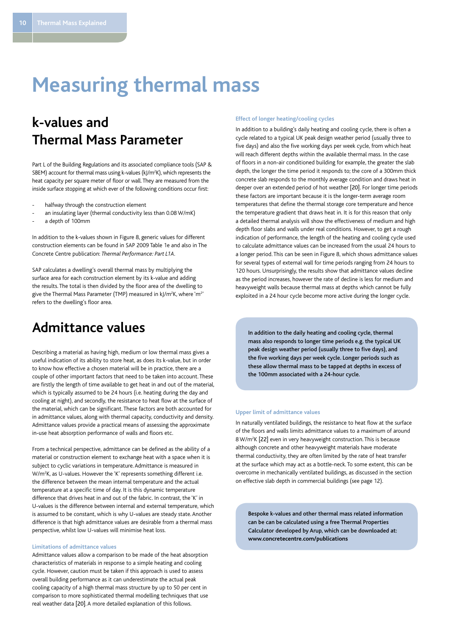## **Measuring thermal mass**

### **k-values and Thermal Mass Parameter**

Part L of the Building Regulations and its associated compliance tools (SAP & SBEM) account for thermal mass using k-values (kJ/m<sup>2</sup>K), which represents the heat capacity per square meter of floor or wall.They are measured from the inside surface stopping at which ever of the following conditions occur first:

- halfway through the construction element
- an insulating layer (thermal conductivity less than 0.08 W/mK)
- a depth of 100mm

In addition to the k-values shown in Figure 8, generic values for different construction elements can be found in SAP 2009 Table 1e and also in The Concrete Centre publication: *Thermal Performance: Part L1A.*

SAP calculates a dwelling's overall thermal mass by multiplying the surface area for each construction element by its k-value and adding the results. The total is then divided by the floor area of the dwelling to give the Thermal Mass Parameter (TMP) measured in kJ/m²K, where 'm²' refers to the dwelling's floor area.

### **Admittance values**

Describing a material as having high, medium or low thermal mass gives a useful indication of its ability to store heat, as does its k-value, but in order to know how effective a chosen material will be in practice, there are a couple of other important factors that need to be taken into account. These are firstly the length of time available to get heat in and out of the material, which is typically assumed to be 24 hours (i.e. heating during the day and cooling at night), and secondly, the resistance to heat flow at the surface of the material, which can be significant. These factors are both accounted for in admittance values, along with thermal capacity, conductivity and density. Admittance values provide a practical means of assessing the approximate in-use heat absorption performance of walls and floors etc.

From a technical perspective, admittance can be defined as the ability of a material or construction element to exchange heat with a space when it is subject to cyclic variations in temperature.Admittance is measured in W/m<sup>2</sup>K, as U-values. However the 'K' represents something different i.e. the difference between the mean internal temperature and the actual temperature at a specific time of day. It is this dynamic temperature difference that drives heat in and out of the fabric. In contrast, the 'K' in U-values is the difference between internal and external temperature, which is assumed to be constant, which is why U-values are steady state. Another difference is that high admittance values are desirable from a thermal mass perspective, whilst low U-values will minimise heat loss.

### **Limitations of admittance values**

Admittance values allow a comparison to be made of the heat absorption characteristics of materials in response to a simple heating and cooling cycle. However, caution must be taken if this approach is used to assess overall building performance as it can underestimate the actual peak cooling capacity of a high thermal mass structure by up to 50 per cent in comparison to more sophisticated thermal modelling techniques that use real weather data [20]. A more detailed explanation of this follows.

### **Effect of longer heating/cooling cycles**

In addition to a building's daily heating and cooling cycle, there is often a cycle related to a typical UK peak design weather period (usually three to five days) and also the five working days per week cycle, from which heat will reach different depths within the available thermal mass. In the case of floors in a non-air conditioned building for example, the greater the slab depth, the longer the time period it responds to; the core of a 300mm thick concrete slab responds to the monthly average condition and draws heat in deeper over an extended period of hot weather [20]. For longer time periods these factors are important because it is the longer-term average room temperatures that define the thermal storage core temperature and hence the temperature gradient that draws heat in. It is for this reason that only a detailed thermal analysis will show the effectiveness of medium and high depth floor slabs and walls under real conditions. However, to get a rough indication of performance, the length of the heating and cooling cycle used to calculate admittance values can be increased from the usual 24 hours to a longer period. This can be seen in Figure 8, which shows admittance values for several types of external wall for time periods ranging from 24 hours to 120 hours. Unsurprisingly, the results show that admittance values decline as the period increases, however the rate of decline is less for medium and heavyweight walls because thermal mass at depths which cannot be fully exploited in a 24 hour cycle become more active during the longer cycle.

In addition to the daily heating and cooling cycle, thermal mass also responds to longer time periods e.g. the typical UK peak design weather period (usually three to five days), and the five working days per week cycle. Longer periods such as these allow thermal mass to be tapped at depths in excess of the 100mm associated with a 24-hour cycle.

### **Upper limit of admittance values**

In naturally ventilated buildings, the resistance to heat flow at the surface of the floors and walls limits admittance values to a maximum of around 8 W/m<sup>2</sup>K [22] even in very heavyweight construction. This is because although concrete and other heavyweight materials have moderate thermal conductivity, they are often limited by the rate of heat transfer at the surface which may act as a bottle-neck. To some extent, this can be overcome in mechanically ventilated buildings, as discussed in the section on effective slab depth in commercial buildings (see page 12).

Bespoke k-values and other thermal mass related information can be can be calculated using a free Thermal Properties Calculator developed by Arup, which can be downloaded at: **www.concretecentre.com/publications**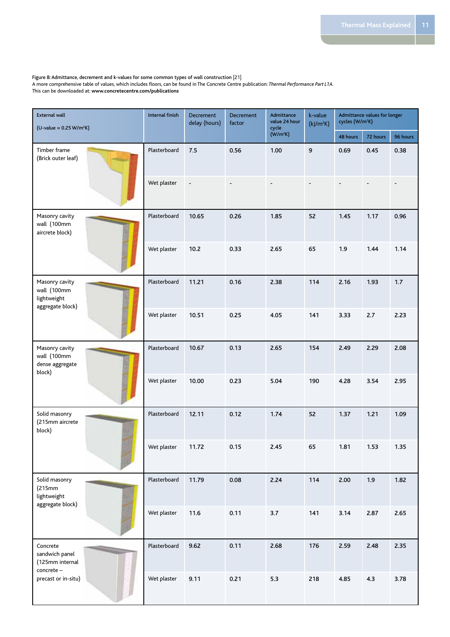Figure 8: Admittance, decrement and k-values for some common types of wall construction [21]

A more comprehensive table of values, which includes floors, can be found in The Concrete Centre publication: *Thermal Performance Part L1A.* This can be downloaded at: **www.concretecentre.com/publications**

| <b>External wall</b><br>$(U-value = 0.25 W/m2K)$                 | <b>Internal finish</b> | Decrement<br>delay (hours) | Decrement<br>factor | Admittance<br>value 24 hour<br>cycle<br>(W/m <sup>2</sup> K) | k-value<br>(kJ/m <sup>2</sup> K) | Admittance values for longer<br>cycles (W/m <sup>2</sup> K) |          |          |
|------------------------------------------------------------------|------------------------|----------------------------|---------------------|--------------------------------------------------------------|----------------------------------|-------------------------------------------------------------|----------|----------|
|                                                                  |                        |                            |                     |                                                              |                                  | 48 hours                                                    | 72 hours | 96 hours |
| Timber frame<br>(Brick outer leaf)                               | Plasterboard           | 7.5                        | 0.56                | 1.00                                                         | 9                                | 0.69                                                        | 0.45     | 0.38     |
|                                                                  | Wet plaster            |                            |                     |                                                              |                                  |                                                             |          |          |
| Masonry cavity<br>wall (100mm<br>aircrete block)                 | Plasterboard           | 10.65                      | 0.26                | 1.85                                                         | 52                               | 1.45                                                        | 1.17     | 0.96     |
|                                                                  | Wet plaster            | 10.2                       | 0.33                | 2.65                                                         | 65                               | 1.9                                                         | 1.44     | 1.14     |
| Masonry cavity<br>wall (100mm<br>lightweight<br>aggregate block) | Plasterboard           | 11.21                      | 0.16                | 2.38                                                         | 114                              | 2.16                                                        | 1.93     | 1.7      |
|                                                                  | Wet plaster            | 10.51                      | 0.25                | 4.05                                                         | 141                              | 3.33                                                        | 2.7      | 2.23     |
| Masonry cavity<br>wall (100mm<br>dense aggregate<br>block)       | Plasterboard           | 10.67                      | 0.13                | 2.65                                                         | 154                              | 2.49                                                        | 2.29     | 2.08     |
|                                                                  | Wet plaster            | 10.00                      | 0.23                | 5.04                                                         | 190                              | 4.28                                                        | 3.54     | 2.95     |
| Solid masonry<br>(215mm aircrete<br>block)                       | Plasterboard           | 12.11                      | 0.12                | 1.74                                                         | 52                               | 1.37                                                        | 1.21     | 1.09     |
|                                                                  | Wet plaster            | 11.72                      | 0.15                | 2.45                                                         | 65                               | 1.81                                                        | 1.53     | 1.35     |
| Solid masonry<br>(215mm)<br>lightweight<br>aggregate block)      | Plasterboard           | 11.79                      | 0.08                | 2.24                                                         | 114                              | 2.00                                                        | 1.9      | 1.82     |
|                                                                  | Wet plaster            | 11.6                       | 0.11                | 3.7                                                          | 141                              | 3.14                                                        | 2.87     | 2.65     |
| Concrete<br>sandwich panel<br>(125mm internal<br>concrete -      | Plasterboard           | 9.62                       | 0.11                | 2.68                                                         | 176                              | 2.59                                                        | 2.48     | 2.35     |
| precast or in-situ)                                              | Wet plaster            | 9.11                       | 0.21                | 5.3                                                          | 218                              | 4.85                                                        | 4.3      | 3.78     |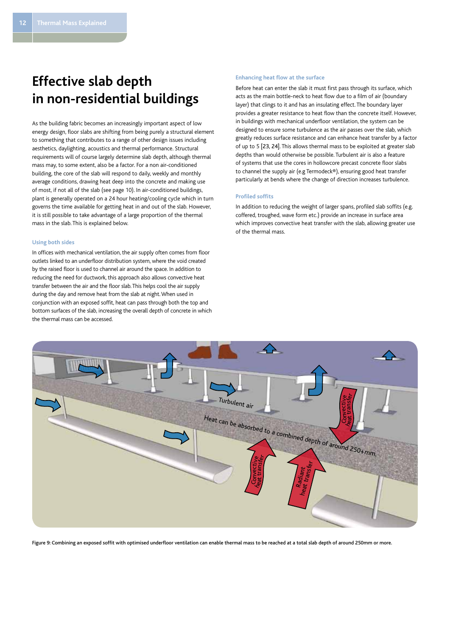### **Effective slab depth in non-residential buildings**

As the building fabric becomes an increasingly important aspect of low energy design, floor slabs are shifting from being purely a structural element to something that contributes to a range of other design issues including aesthetics, daylighting, acoustics and thermal performance. Structural requirements will of course largely determine slab depth, although thermal mass may, to some extent, also be a factor. For a non air-conditioned building, the core of the slab will respond to daily, weekly and monthly average conditions, drawing heat deep into the concrete and making use of most, if not all of the slab (see page 10). In air-conditioned buildings, plant is generally operated on a 24 hour heating/cooling cycle which in turn governs the time available for getting heat in and out of the slab. However, it is still possible to take advantage of a large proportion of the thermal mass in the slab. This is explained below.

### **Using both sides**

In offices with mechanical ventilation, the air supply often comes from floor outlets linked to an underfloor distribution system, where the void created by the raised floor is used to channel air around the space. In addition to reducing the need for ductwork, this approach also allows convective heat transfer between the air and the floor slab.This helps cool the air supply during the day and remove heat from the slab at night.When used in conjunction with an exposed soffit, heat can pass through both the top and bottom surfaces of the slab, increasing the overall depth of concrete in which the thermal mass can be accessed.

### **Enhancing heat flow at the surface**

Before heat can enter the slab it must first pass through its surface, which acts as the main bottle-neck to heat flow due to a film of air (boundary layer) that clings to it and has an insulating effect. The boundary layer provides a greater resistance to heat flow than the concrete itself. However, in buildings with mechanical underfloor ventilation, the system can be designed to ensure some turbulence as the air passes over the slab, which greatly reduces surface resistance and can enhance heat transfer by a factor of up to 5 [23, 24]. This allows thermal mass to be exploited at greater slab depths than would otherwise be possible. Turbulent air is also a feature of systems that use the cores in hollowcore precast concrete floor slabs to channel the supply air (e.g Termodeck®), ensuring good heat transfer particularly at bends where the change of direction increases turbulence.

### **Profiled soffits**

In addition to reducing the weight of larger spans, profiled slab soffits (e.g. coffered, troughed, wave form etc.) provide an increase in surface area which improves convective heat transfer with the slab, allowing greater use of the thermal mass.

![](_page_11_Figure_9.jpeg)

Figure 9: Combining an exposed soffit with optimised underfloor ventilation can enable thermal mass to be reached at a total slab depth of around 250mm or more.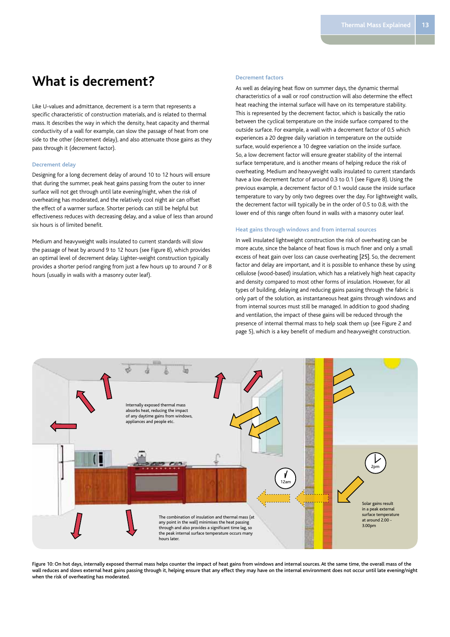### **What is decrement?**

Like U-values and admittance, decrement is a term that represents a specific characteristic of construction materials, and is related to thermal mass. It describes the way in which the density, heat capacity and thermal conductivity of a wall for example, can slow the passage of heat from one side to the other (decrement delay), and also attenuate those gains as they pass through it (decrement factor).

### **Decrement delay**

Designing for a long decrement delay of around 10 to 12 hours will ensure that during the summer, peak heat gains passing from the outer to inner surface will not get through until late evening/night, when the risk of overheating has moderated, and the relatively cool night air can offset the effect of a warmer surface. Shorter periods can still be helpful but effectiveness reduces with decreasing delay, and a value of less than around six hours is of limited benefit.

Medium and heavyweight walls insulated to current standards will slow the passage of heat by around 9 to 12 hours (see Figure 8), which provides an optimal level of decrement delay. Lighter-weight construction typically provides a shorter period ranging from just a few hours up to around 7 or 8 hours (usually in walls with a masonry outer leaf).

#### **Decrement factors**

As well as delaying heat flow on summer days, the dynamic thermal characteristics of a wall or roof construction will also determine the effect heat reaching the internal surface will have on its temperature stability. This is represented by the decrement factor, which is basically the ratio between the cyclical temperature on the inside surface compared to the outside surface. For example, a wall with a decrement factor of 0.5 which experiences a 20 degree daily variation in temperature on the outside surface, would experience a 10 degree variation on the inside surface. So, a low decrement factor will ensure greater stability of the internal surface temperature, and is another means of helping reduce the risk of overheating. Medium and heavyweight walls insulated to current standards have a low decrement factor of around 0.3 to 0.1 (see Figure 8). Using the previous example, a decrement factor of 0.1 would cause the inside surface temperature to vary by only two degrees over the day. For lightweight walls, the decrement factor will typically be in the order of 0.5 to 0.8, with the lower end of this range often found in walls with a masonry outer leaf.

### **Heat gains through windows and from internal sources**

In well insulated lightweight construction the risk of overheating can be more acute, since the balance of heat flows is much finer and only a small excess of heat gain over loss can cause overheating [25]. So, the decrement factor and delay are important, and it is possible to enhance these by using cellulose (wood-based) insulation, which has a relatively high heat capacity and density compared to most other forms of insulation. However, for all types of building, delaying and reducing gains passing through the fabric is only part of the solution, as instantaneous heat gains through windows and from internal sources must still be managed. In addition to good shading and ventilation, the impact of these gains will be reduced through the presence of internal thermal mass to help soak them up (see Figure 2 and page 5), which is a key benefit of medium and heavyweight construction.

![](_page_12_Figure_10.jpeg)

Figure 10: On hot days, internally exposed thermal mass helps counter the impact of heat gains from windows and internal sources. At the same time, the overall mass of the wall reduces and slows external heat gains passing through it, helping ensure that any effect they may have on the internal environment does not occur until late evening/night when the risk of overheating has moderated.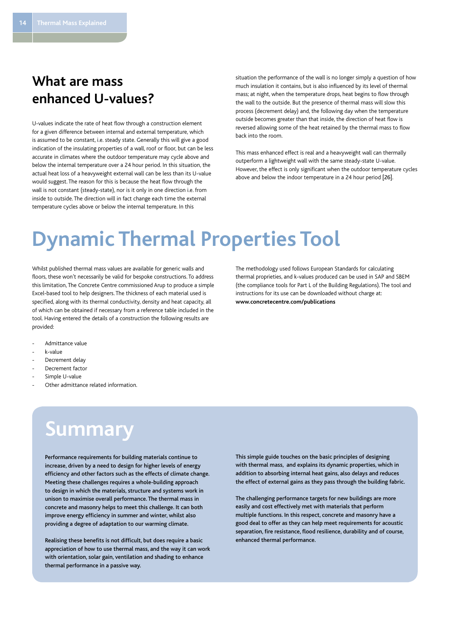### **What are mass enhanced U-values?**

U-values indicate the rate of heat flow through a construction element for a given difference between internal and external temperature, which is assumed to be constant, i.e. steady state. Generally this will give a good indication of the insulating properties of a wall, roof or floor, but can be less accurate in climates where the outdoor temperature may cycle above and below the internal temperature over a 24 hour period. In this situation, the actual heat loss of a heavyweight external wall can be less than its U-value would suggest. The reason for this is because the heat flow through the wall is not constant (steady-state), nor is it only in one direction i.e. from inside to outside. The direction will in fact change each time the external temperature cycles above or below the internal temperature. In this

situation the performance of the wall is no longer simply a question of how much insulation it contains, but is also influenced by its level of thermal mass; at night, when the temperature drops, heat begins to flow through the wall to the outside. But the presence of thermal mass will slow this process (decrement delay) and, the following day when the temperature outside becomes greater than that inside, the direction of heat flow is reversed allowing some of the heat retained by the thermal mass to flow back into the room.

This mass enhanced effect is real and a heavyweight wall can thermally outperform a lightweight wall with the same steady-state U-value. However, the effect is only significant when the outdoor temperature cycles above and below the indoor temperature in a 24 hour period [26].

## **Dynamic Thermal Properties Tool**

Whilst published thermal mass values are available for generic walls and floors, these won't necessarily be valid for bespoke constructions. To address this limitation, The Concrete Centre commissioned Arup to produce a simple Excel-based tool to help designers. The thickness of each material used is specified, along with its thermal conductivity, density and heat capacity, all of which can be obtained if necessary from a reference table included in the tool. Having entered the details of a construction the following results are provided:

The methodology used follows European Standards for calculating thermal proprieties, and k-values produced can be used in SAP and SBEM (the compliance tools for Part L of the Building Regulations). The tool and instructions for its use can be downloaded without charge at: **www.concretecentre.com/publications**

- Admittance value
- k-value
- Decrement delay
- Decrement factor
- Simple U-value
- Other admittance related information.

## **Summary**

Performance requirements for building materials continue to increase, driven by a need to design for higher levels of energy efficiency and other factors such as the effects of climate change. Meeting these challenges requires a whole-building approach to design in which the materials, structure and systems work in unison to maximise overall performance. The thermal mass in concrete and masonry helps to meet this challenge. It can both improve energy efficiency in summer and winter, whilst also providing a degree of adaptation to our warming climate.

Realising these benefits is not difficult, but does require a basic appreciation of how to use thermal mass, and the way it can work with orientation, solar gain, ventilation and shading to enhance thermal performance in a passive way.

This simple guide touches on the basic principles of designing with thermal mass, and explains its dynamic properties, which in addition to absorbing internal heat gains, also delays and reduces the effect of external gains as they pass through the building fabric.

The challenging performance targets for new buildings are more easily and cost effectively met with materials that perform multiple functions. In this respect, concrete and masonry have a good deal to offer as they can help meet requirements for acoustic separation, fire resistance, flood resilience, durability and of course, enhanced thermal performance.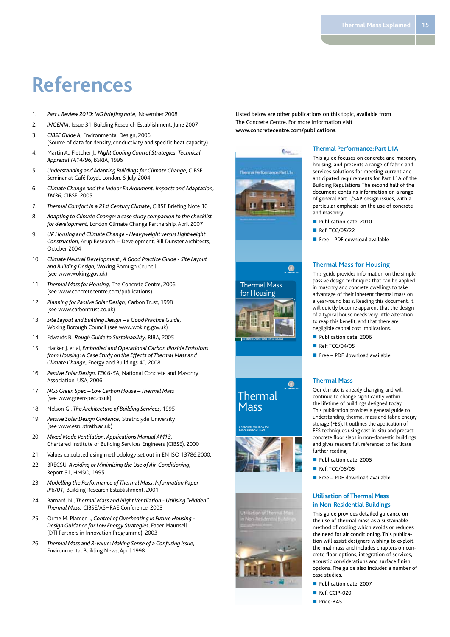## **References**

- 1. *Part L Review 2010: IAG briefing note,* November 2008
- 2. *INGENIA*, Issue 31, Building Research Establishment, June 2007
- 3. *CIBSE Guide A,* Environmental Design, 2006 (Source of data for density, conductivity and specific heat capacity)
- 4. Martin A., Fletcher J., *Night Cooling Control Strategies, Technical Appraisal TA14/96,* BSRIA, 1996
- 5. *Understanding and Adapting Buildings for Climate Change,* CIBSE Seminar at Café Royal, London, 6 July 2004
- 6. *Climate Change and the Indoor Environment: Impacts and Adaptation, TM36,* CIBSE, 2005
- 7. *Thermal Comfort in a 21st Century Climate,* CIBSE Briefing Note 10
- 8. *Adapting to Climate Change: a case study companion to the checklist for development,* London Climate Change Partnership,April 2007
- 9. *UK Housing and Climate Change Heavyweight versus Lightweight Construction,* Arup Research + Development, Bill Dunster Architects, October 2004
- 10. *Climate Neutral Development , A Good Practice Guide Site Layout and Building Design,* Woking Borough Council (see www.woking.gov.uk)
- 11. *Thermal Mass for Housing,* The Concrete Centre, 2006 (see www.concretecentre.com/publications)
- 12. *Planning for Passive Solar Design,* Carbon Trust, 1998 (see www.carbontrust.co.uk)
- 13. *Site Layout and Building Design a Good Practice Guide,* Woking Borough Council (see www.woking.gov.uk)
- 14. Edwards B., *Rough Guide to Sustainability,* RIBA, 2005
- 15. Hacker J. et al, *Embodied and Operational Carbon dioxide Emissions from Housing: A Case Study on the Effects of Thermal Mass and Climate Change,* Energy and Buildings 40, 2008
- 16. *Passive Solar Design, TEK 6-5A,* National Concrete and Masonry Association, USA, 2006
- 17. *NGS Green Spec Low Carbon House Thermal Mass* (see www.greenspec.co.uk)
- 18. Nelson G., *The Architecture of Building Services,* 1995
- 19. *Passive Solar Design Guidance,* Strathclyde University (see www.esru.strath.ac.uk)
- 20. *Mixed Mode Ventilation, Applications Manual AM13,* Chartered Institute of Building Services Engineers (CIBSE), 2000
- 21. Values calculated using methodology set out in EN ISO 13786:2000.
- 22. BRECSU, *Avoiding or Minimising the Use of Air-Conditioning,* Report 31, HMSO, 1995
- 23. *Modelling the Performance of Thermal Mass, Information Paper IP6/01,* Building Research Establishment, 2001
- 24. Barnard. N., *Thermal Mass and Night Ventilation Utilising "Hidden" Thermal Mass,* CIBSE/ASHRAE Conference, 2003
- 25. Orme M. Plamer J., *Control of Overheating in Future Housing - Design Guidance for Low Energy Strategies*, Faber Maunsell (DTI Partners in Innovation Programme), 2003
- 26. *Thermal Mass and R-value: Making Sense of a Confusing Issue,* Environmental Building News, April 1998

Listed below are other publications on this topic, available from The Concrete Centre. For more information visit **www.concretecentre.com/publications**.

![](_page_14_Picture_29.jpeg)

### **Thermal Performance: Part L1A**

This guide focuses on concrete and masonry housing, and presents a range of fabric and services solutions for meeting current and anticipated requirements for Part L1A of the Building Regulations.The second half of the document contains information on a range of general Part L/SAP design issues, with a particular emphasis on the use of concrete .<br>and masonry.

- **Publication date: 2010**
- $Ref. TCC/05/22$
- $\blacksquare$  Free PDF download available

#### **Thermal Mass for Housing**

This guide provides information on the simple, passive design techniques that can be applied passive example in masonry and concrete dwellings to take advantage of their inherent thermal mass on a year-round basis. Reading this document, it will quickly become apparent that the design of a typical house needs very little alteration to reap this benefit, and that there are negligible capital cost implications.

- **n** Publication date: 2006
- $Ref: TCC/04/05$
- $\blacksquare$  Free PDF download available

### **Thermal Mass**

Our climate is already changing and will continue to change significantly within the lifetime of buildings designed today. This publication provides a general guide to understanding thermal mass and fabric energy storage (FES). It outlines the application of FES techniques using cast in-situ and precast concrete floor slabs in non-domestic buildings and gives readers full references to facilitate further reading.

- Publication date: 2005
- Ref: TCC/05/05
- $\blacksquare$  Free PDF download available

### **Utilisation of Thermal Mass in Non-Residential Buildings**

This guide provides detailed guidance on the use of thermal mass as a sustainable method of cooling which avoids or reduces the need for air conditioning. This publication will assist designers wishing to exploit thermal mass and includes chapters on concrete floor options, integration of services, acoustic considerations and surface finish options. The guide also includes a number of case studies.

- **Publication date: 2007**
- Ref: CCIP-020
- $\blacksquare$  Price: £45

![](_page_14_Picture_50.jpeg)

![](_page_14_Picture_51.jpeg)

![](_page_14_Picture_52.jpeg)